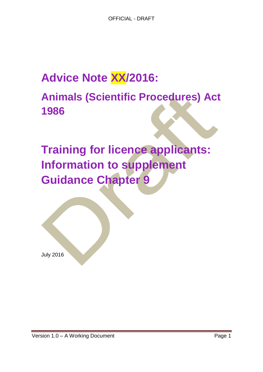# **Advice Note XX/2016:**

# **Animals (Scientific Procedures) Act 1986**

# **Training for licence applicants: Information to supplement Guidance Chapter 9**

July 2016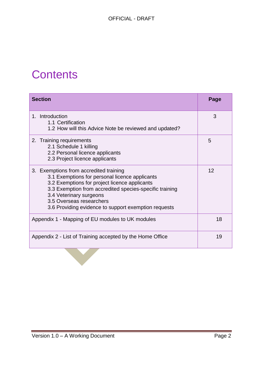# **Contents**

| <b>Section</b>                                                                                                                                                                                                                                                                                                      | Page |
|---------------------------------------------------------------------------------------------------------------------------------------------------------------------------------------------------------------------------------------------------------------------------------------------------------------------|------|
| 1. Introduction<br>1.1 Certification<br>1.2 How will this Advice Note be reviewed and updated?                                                                                                                                                                                                                      | 3    |
| 2. Training requirements<br>2.1 Schedule 1 killing<br>2.2 Personal licence applicants<br>2.3 Project licence applicants                                                                                                                                                                                             | 5    |
| 3. Exemptions from accredited training<br>3.1 Exemptions for personal licence applicants<br>3.2 Exemptions for project licence applicants<br>3.3 Exemption from accredited species-specific training<br>3.4 Veterinary surgeons<br>3.5 Overseas researchers<br>3.6 Providing evidence to support exemption requests | 12   |
| Appendix 1 - Mapping of EU modules to UK modules                                                                                                                                                                                                                                                                    | 18   |
| Appendix 2 - List of Training accepted by the Home Office                                                                                                                                                                                                                                                           | 19   |
|                                                                                                                                                                                                                                                                                                                     |      |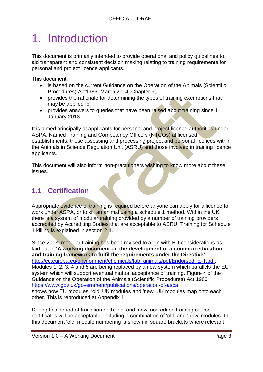# 1. Introduction

This document is primarily intended to provide operational and policy guidelines to aid transparent and consistent decision making relating to training requirements for personal and project licence applicants.

This document:

- is based on the current Guidance on the Operation of the Animals (Scientific Procedures) Act1986, March 2014, Chapter 9;
- provides the rationale for determining the types of training exemptions that may be applied for;
- provides answers to queries that have been raised about training since 1 January 2013.

It is aimed principally at applicants for personal and project licence authorities under ASPA, Named Training and Competency Officers (NTCOs) at licensed establishments, those assessing and processing project and personal licences within the Animals in Science Regulation Unit (ASRU) and those involved in training licence applicants.

This document will also inform non-practitioners wishing to know more about these issues.

### **1.1 Certification**

Appropriate evidence of training is required before anyone can apply for a licence to work under ASPA, or to kill an animal using a schedule 1 method. Within the UK there is a system of modular training provided by a number of training providers accredited by Accrediting Bodies that are acceptable to ASRU. Training for Schedule 1 killing is explained in section 2.1.

Since 2013, modular training has been revised to align with EU considerations as laid out in **'A working document on the development of a common education and training framework to fulfil the requirements under the Directive'**  [http://ec.europa.eu/environment/chemicals/lab\\_animals/pdf/Endorsed\\_E-T.pdf](http://ec.europa.eu/environment/chemicals/lab_animals/pdf/Endorsed_E-T.pdf)**.** Modules 1, 2, 3, 4 and 5 are being replaced by a new system which parallels the EU system which will support eventual mutual acceptance of training. Figure 4 of the Guidance on the Operation of the Animals (Scientific Procedures) Act 1986 <https://www.gov.uk/government/publications/operation-of-aspa> shows how EU modules, 'old' UK modules and 'new' UK modules map onto each other. This is reproduced at Appendix 1.

During this period of transition both 'old' and 'new' accredited training course certificates will be acceptable, including a combination of 'old' and 'new' modules. In this document 'old' module numbering is shown in square brackets where relevant.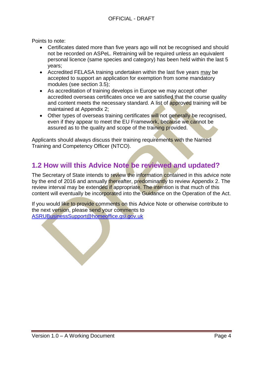Points to note:

- Certificates dated more than five years ago will not be recognised and should not be recorded on ASPeL. Retraining will be required unless an equivalent personal licence (same species and category) has been held within the last 5 years;
- Accredited FELASA training undertaken within the last five years may be accepted to support an application for exemption from some mandatory modules (see section 3.5);
- As accreditation of training develops in Europe we may accept other accredited overseas certificates once we are satisfied that the course quality and content meets the necessary standard. A list of approved training will be maintained at Appendix 2;
- Other types of overseas training certificates will not generally be recognised. even if they appear to meet the EU Framework, because we cannot be assured as to the quality and scope of the training provided.

Applicants should always discuss their training requirements with the Named Training and Competency Officer (NTCO).

### **1.2 How will this Advice Note be reviewed and updated?**

The Secretary of State intends to review the information contained in this advice note by the end of 2016 and annually thereafter, predominantly to review Appendix 2. The review interval may be extended if appropriate. The intention is that much of this content will eventually be incorporated into the Guidance on the Operation of the Act.

If you would like to provide comments on this Advice Note or otherwise contribute to the next version, please send your comments to [ASRUBusinessSupport@homeoffice.gsi.gov.uk](mailto:ASRUBusinessSupport@homeoffice.gsi.gov.uk)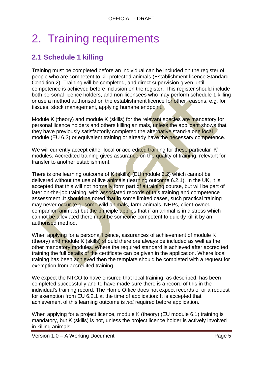# 2. Training requirements

## **2.1 Schedule 1 killing**

Training must be completed before an individual can be included on the register of people who are competent to kill protected animals (Establishment licence Standard Condition 2). Training will be completed, and direct supervision given until competence is achieved before inclusion on the register. This register should include both personal licence holders, and non-licensees who may perform schedule 1 killing or use a method authorised on the establishment licence for other reasons, e.g. for tissues, stock management, applying humane endpoint.

Module K (theory) and module K (skills) for the relevant species are mandatory for personal licence holders and others killing animals, unless the applicant shows that they have previously satisfactorily completed the alternative stand-alone local module (EU 6.3) or equivalent training or already have the necessary competence.

We will currently accept either local or accredited training for these particular 'K' modules. Accredited training gives assurance on the quality of training, relevant for transfer to another establishment.

There is one learning outcome of  $K$  (skills) (EU module 6.2) which cannot be delivered without the use of live animals (learning outcome 6.2.1). In the UK, it is accepted that this will not normally form part of a training course, but will be part of later on-the-job training, with associated records of this training and competence assessment .It should be noted that in some limited cases, such practical training may never occur (e.g. some wild animals, farm animals, NHPs, client-owned companion animals) but the principle applies that if an animal is in distress which cannot be alleviated there must be someone competent to quickly kill it by an authorised method.

When applying for a personal licence, assurances of achievement of module K (theory) and module K (skills) should therefore always be included as well as the other mandatory modules. Where the required standard is achieved after accredited training the full details of the certificate can be given in the application. Where local training has been achieved then the template should be completed with a request for exemption from accredited training.

We expect the NTCO to have ensured that local training, as described, has been completed successfully and to have made sure there is a record of this in the individual's training record. The Home Office does not expect records of or a request for exemption from EU 6.2.1 at the time of application: It is accepted that achievement of this learning outcome is *not* required before application.

When applying for a project licence, module K (theory) (EU module 6.1) training is mandatory, but K (skills) is not, unless the project licence holder is actively involved in killing animals.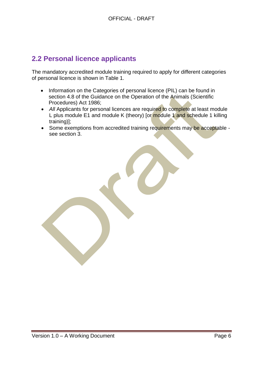### **2.2 Personal licence applicants**

The mandatory accredited module training required to apply for different categories of personal licence is shown in Table 1.

- Information on the Categories of personal licence (PIL) can be found in section 4.8 of the Guidance on the Operation of the Animals (Scientific Procedures) Act 1986;
- All Applicants for personal licences are required to complete at least module L plus module E1 and module K (theory) [or module 1 and schedule 1 killing training)];
- Some exemptions from accredited training requirements may be acceptable see section 3.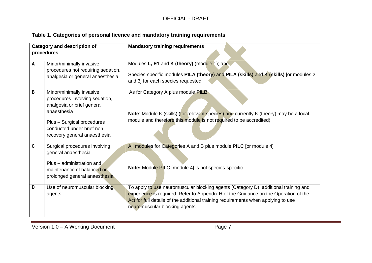### **Table 1. Categories of personal licence and mandatory training requirements**

|              | <b>Category and description of</b><br><b>Mandatory training requirements</b>                                                                                                                        |                                                                                                                                                                                                                                                                                                   |
|--------------|-----------------------------------------------------------------------------------------------------------------------------------------------------------------------------------------------------|---------------------------------------------------------------------------------------------------------------------------------------------------------------------------------------------------------------------------------------------------------------------------------------------------|
|              | procedures                                                                                                                                                                                          |                                                                                                                                                                                                                                                                                                   |
| $\mathsf{A}$ | Minor/minimally invasive<br>procedures not requiring sedation,<br>analgesia or general anaesthesia                                                                                                  | Modules L, E1 and K (theory) (module 1); and<br>Species-specific modules PILA (theory) and PILA (skills) and K (skills) [or modules 2<br>and 3] for each species requested                                                                                                                        |
| B            | Minor/minimally invasive<br>procedures involving sedation,<br>analgesia or brief general<br>anaesthesia<br>Plus - Surgical procedures<br>conducted under brief non-<br>recovery general anaesthesia | As for Category A plus module PILB<br>Note: Module K (skills) (for relevant species) and currently K (theory) may be a local<br>module and therefore this module is not required to be accredited)                                                                                                |
| C            | Surgical procedures involving<br>general anaesthesia<br>Plus - administration and<br>maintenance of balanced or<br>prolonged general anaesthesia                                                    | All modules for Categories A and B plus module PILC [or module 4]<br><b>Note:</b> Module PILC [module 4] is not species-specific                                                                                                                                                                  |
| D            | Use of neuromuscular blocking<br>agents                                                                                                                                                             | To apply to use neuromuscular blocking agents (Category D), additional training and<br>experience is required. Refer to Appendix H of the Guidance on the Operation of the<br>Act for full details of the additional training requirements when applying to use<br>neuromuscular blocking agents. |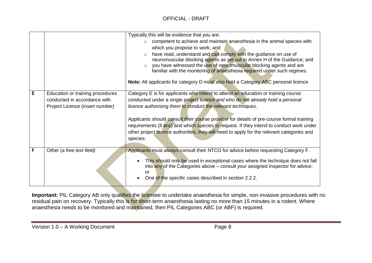#### OFFICIAL - DRAFT

|   |                                  | Typically this will be evidence that you are:                                                                                                                     |  |  |
|---|----------------------------------|-------------------------------------------------------------------------------------------------------------------------------------------------------------------|--|--|
|   |                                  | competent to achieve and maintain anaesthesia in the animal species with                                                                                          |  |  |
|   |                                  | which you propose to work; and                                                                                                                                    |  |  |
|   |                                  | have read, understand and can comply with the guidance on use of                                                                                                  |  |  |
|   |                                  | neuromuscular blocking agents as set out in Annex H of the Guidance; and                                                                                          |  |  |
|   |                                  | you have witnessed the use of neuromuscular blocking agents and are                                                                                               |  |  |
|   |                                  | familiar with the monitoring of anaesthesia required under such regimes.                                                                                          |  |  |
|   |                                  | Note: All applicants for category D must also hold a Category ABC personal licence                                                                                |  |  |
|   |                                  |                                                                                                                                                                   |  |  |
| E | Education or training procedures | Category E is for applicants who intend to attend an education or training course                                                                                 |  |  |
|   | conducted in accordance with     | conducted under a single project licence and who do not already hold a personal                                                                                   |  |  |
|   | Project Licence (insert number)  | licence authorising them to conduct the relevant techniques.                                                                                                      |  |  |
|   |                                  |                                                                                                                                                                   |  |  |
|   |                                  | Applicants should consult their course provider for details of pre-course formal training                                                                         |  |  |
|   |                                  | requirements (if any) and which species to request. If they intend to conduct work under                                                                          |  |  |
|   |                                  | other project licence authorities, they will need to apply for the relevant categories and                                                                        |  |  |
|   |                                  | species.                                                                                                                                                          |  |  |
| F |                                  |                                                                                                                                                                   |  |  |
|   | Other (a free text field)        | Applicants must always consult their NTCO for advice before requesting Category F.                                                                                |  |  |
|   |                                  | This should only be used in exceptional cases where the technique does not fall<br>into any of the Categories above – consult your assigned Inspector for advice; |  |  |
|   |                                  |                                                                                                                                                                   |  |  |
|   |                                  | or                                                                                                                                                                |  |  |
|   |                                  | One of the specific cases described in section 2.2.2.                                                                                                             |  |  |

Important: PIL Category AB only qualifies the licensee to undertake anaesthesia for simple, non-invasive procedures with no residual pain on recovery. Typically this is for short-term anaesthesia lasting no more than 15 minutes in a rodent. Where anaesthesia needs to be monitored and maintained, then PIL Categories ABC (or ABF) is required.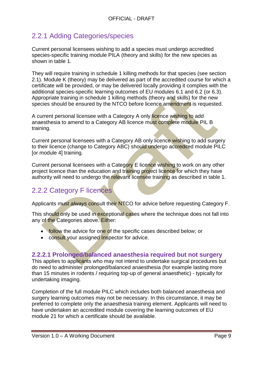### 2.2.1 Adding Categories/species

Current personal licensees wishing to add a species must undergo accredited species-specific training module PILA (theory and skills) for the new species as shown in table 1.

They will require training in schedule 1 killing methods for that species (see section 2.1). Module K (theory) may be delivered as part of the accredited course for which a certificate will be provided, or may be delivered locally providing it complies with the additional species-specific learning outcomes of EU modules 6.1 and 6.2 (or 6.3). Appropriate training in schedule 1 killing methods (theory and skills) for the new species should be ensured by the NTCO before licence amendment is requested.

A current personal licensee with a Category A only licence wishing to add anaesthesia to amend to a Category AB licence must complete module PIL B training.

Current personal licensees with a Category AB only licence wishing to add surgery to their licence (change to Category ABC) should undergo accredited module PILC [or module 4] training.

Current personal licensees with a Category E licence wishing to work on any other project licence than the education and training project licence for which they have authority will need to undergo the relevant licensee training as described in table 1.

### 2.2.2 Category F licences

Applicants must *always* consult their NTCO for advice before requesting Category F.

This should only be used in exceptional cases where the technique does not fall into any of the Categories above. Either:

- follow the advice for one of the specific cases described below; or
- consult your assigned Inspector for advice.

### **2.2.2.1 Prolonged/balanced anaesthesia required but not surgery**

This applies to applicants who may not intend to undertake surgical procedures but do need to administer prolonged/balanced anaesthesia (for example lasting more than 15 minutes in rodents / requiring top-up of general anaesthetic) - typically for undertaking imaging.

Completion of the full module PILC which includes both balanced anaesthesia and surgery learning outcomes may not be necessary. In this circumstance, it may be preferred to complete only the anaesthesia training element. Applicants will need to have undertaken an accredited module covering the learning outcomes of EU module 21 for which a certificate should be available.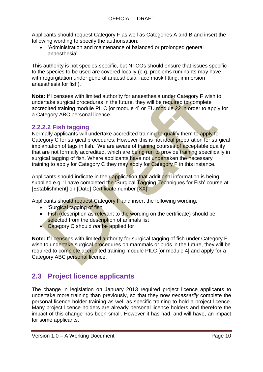Applicants should request Category F as well as Categories A and B and insert the following wording to specify the authorisation:

 'Administration and maintenance of balanced or prolonged general anaesthesia'

This authority is not species-specific, but NTCOs should ensure that issues specific to the species to be used are covered locally (e.g. problems ruminants may have with regurgitation under general anaesthesia, face mask fitting, immersion anaesthesia for fish).

**Note:** If licensees with limited authority for anaesthesia under Category F wish to undertake surgical procedures in the future, they will be required to complete accredited training module PILC [or module 4] or EU module 22 in order to apply for a Category ABC personal licence.

### **2.2.2.2 Fish tagging**

Normally applicants will undertake accredited training to qualify them to apply for Category C for surgical procedures. However this is not ideal preparation for surgical implantation of tags in fish. We are aware of training courses of acceptable quality that are not formally accredited, which are being run to provide training specifically in surgical tagging of fish. Where applicants have not undertaken the necessary training to apply for Category C they may apply for Category F in this instance.

Applicants should indicate in their application that additional information is being supplied e.g. 'I have completed the 'Surgical Tagging Techniques for Fish' course at [Establishment] on [Date] Certificate number [XX].

Applicants should request Category F and insert the following wording:

- 'Surgical tagging of fish'
- Fish (description as relevant to the wording on the certificate) should be selected from the description of animals list
- **Category C should not be applied for**

**Note:** If licensees with limited authority for surgical tagging of fish under Category F wish to undertake surgical procedures on mammals or birds in the future, they will be required to complete accredited training module PILC [or module 4] and apply for a Category ABC personal licence.

### **2.3 Project licence applicants**

The change in legislation on January 2013 required project licence applicants to undertake more training than previously, so that they now *necessarily* complete the personal licence holder training as well as specific training to hold a project licence. Many project licence holders are already personal licence holders and therefore the impact of this change has been small. However it has had, and will have, an impact for some applicants.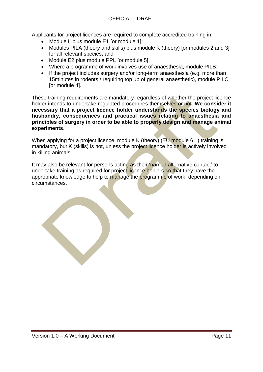Applicants for project licences are required to complete accredited training in:

- Module L plus module E1 [or module 1];
- Modules PILA (theory and skills) plus module K (theory) [or modules 2 and 3] for all relevant species; and
- Module E2 plus module PPL [or module 5];
- Where a programme of work involves use of anaesthesia, module PILB;
- If the project includes surgery and/or long-term anaesthesia (e.g. more than 15minutes in rodents / requiring top up of general anaesthetic), module PILC [or module 4].

These training requirements are mandatory regardless of whether the project licence holder intends to undertake regulated procedures themselves or not. **We consider it necessary that a project licence holder understands the species biology and husbandry, consequences and practical issues relating to anaesthesia and principles of surgery in order to be able to properly design and manage animal experiments**.

When applying for a project licence, module K (theory) (EU module 6.1) training is mandatory, but K (skills) is not, unless the project licence holder is actively involved in killing animals.

It may also be relevant for persons acting as their *'named alternative contact' to* undertake training as required for project licence holders so that they have the appropriate knowledge to help to manage the programme of work, depending on circumstances.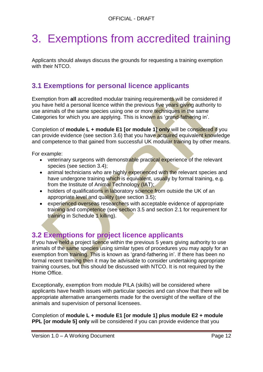# 3. Exemptions from accredited training

Applicants should always discuss the grounds for requesting a training exemption with their NTCO.

## **3.1 Exemptions for personal licence applicants**

Exemption from **all** accredited modular training requirements will be considered if you have held a personal licence within the previous five years giving authority to use animals of the same species using one or more techniques in the same Categories for which you are applying. This is known as 'grand-fathering in'.

Completion of **module L + module E1 [or module 1] only** will be considered if you can provide evidence (see section 3.6) that you have acquired equivalent knowledge and competence to that gained from successful UK modular training by other means.

For example:

- veterinary surgeons with demonstrable practical experience of the relevant species (see section 3.4);
- animal technicians who are highly experienced with the relevant species and have undergone training which is equivalent, usually by formal training, e.g. from the Institute of Animal Technology (IAT);
- holders of qualifications in laboratory science from outside the UK of an appropriate level and quality (see section 3.5);
- experienced overseas researchers with acceptable evidence of appropriate training and competence (see section 3.5 and section 2.1 for requirement for training in Schedule 1 killing).

### **3.2 Exemptions for project licence applicants**

If you have held a project licence within the previous 5 years giving authority to use animals of the same species using similar types of procedures you may apply for an exemption from training. This is known as 'grand-fathering in'. If there has been no formal recent training then it may be advisable to consider undertaking appropriate training courses, but this should be discussed with NTCO. It is not required by the Home Office.

Exceptionally, exemption from module PILA (skills) will be considered where applicants have health issues with particular species and can show that there will be appropriate alternative arrangements made for the oversight of the welfare of the animals and supervision of personal licensees.

Completion of **module L + module E1 [or module 1] plus module E2 + module PPL [or module 5] only** will be considered if you can provide evidence that you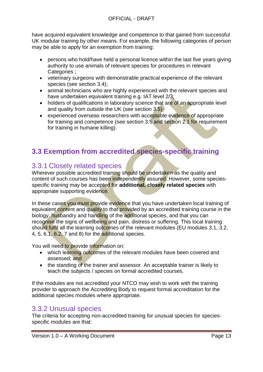have acquired equivalent knowledge and competence to that gained from successful UK modular training by other means. For example, the following categories of person may be able to apply for an exemption from training:

- persons who hold/have held a personal licence within the last five years giving authority to use animals of relevant species for procedures in relevant Categories :
- veterinary surgeons with demonstrable practical experience of the relevant species (see section 3.4);
- animal technicians who are highly experienced with the relevant species and have undertaken equivalent training e.g. IAT level 2/3;
- holders of qualifications in laboratory science that are of an appropriate level and quality from outside the UK (see section 3.5);
- experienced overseas researchers with acceptable evidence of appropriate for training and competence (see section 3.5 and section 2.1 for requirement for training in humane killing).

## **3.3 Exemption from accredited species-specific training**

### 3.3.1 Closely related species

Wherever possible accredited training should be undertaken as the quality and content of such courses has been independently assured. However, some speciesspecific training may be accepted for **additional, closely related species** with appropriate supporting evidence.

In these cases you must provide evidence that you have undertaken local training of equivalent content and quality to that provided by an accredited training course in the biology, husbandry and handling of the additional species, and that you can recognise the signs of wellbeing and pain, distress or suffering. This local training should fulfil all the learning outcomes of the relevant modules (EU modules 3.1, 3.2, 4, 5, 6.1, 6.2, 7 and 8) for the additional species.

You will need to provide information on:

- which learning outcomes of the relevant modules have been covered and assessed; and
- the standing of the trainer and assessor. An acceptable trainer is likely to teach the subjects / species on formal accredited courses.

If the modules are not accredited your NTCO may wish to work with the training provider to approach the Accrediting Body to request formal accreditation for the additional species modules where appropriate.

### 3.3.2 Unusual species

The criteria for accepting non-accredited training for unusual species for speciesspecific modules are that: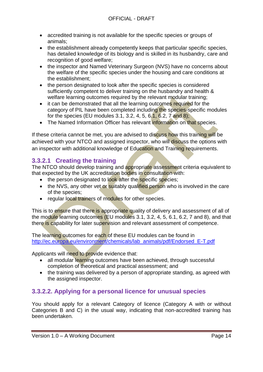- accredited training is not available for the specific species or groups of animals;
- the establishment already competently keeps that particular specific species, has detailed knowledge of its biology and is skilled in its husbandry, care and recognition of good welfare;
- the inspector and Named Veterinary Surgeon (NVS) have no concerns about the welfare of the specific species under the housing and care conditions at the establishment;
- the person designated to look after the specific species is considered sufficiently competent to deliver training on the husbandry and health & welfare learning outcomes required by the relevant modular training;
- it can be demonstrated that all the learning outcomes required for the category of PIL have been completed including the species-specific modules for the species (EU modules 3.1, 3.2, 4, 5, 6.1, 6.2, 7 and 8);
- The Named Information Officer has relevant information on that species.

If these criteria cannot be met, you are advised to discuss how this training will be achieved with your NTCO and assigned inspector, who will discuss the options with an inspector with additional knowledge of Education and Training requirements.

### **3.3.2.1 Creating the training**

The NTCO should develop training and appropriate assessment criteria equivalent to that expected by the UK accreditation bodies in consultation with:

- the person designated to look after the specific species;
- the NVS, any other vet or suitably qualified person who is involved in the care of the species;
- regular local trainers of modules for other species.

This is to ensure that there is appropriate quality of delivery and assessment of all of the module learning outcomes (EU modules 3.1, 3.2, 4, 5, 6.1, 6.2, 7 and 8), and that there is capability for later supervision and relevant assessment of competence.

The learning outcomes for each of these EU modules can be found in [http://ec.europa.eu/environment/chemicals/lab\\_animals/pdf/Endorsed\\_E-T.pdf](http://ec.europa.eu/environment/chemicals/lab_animals/pdf/Endorsed_E-T.pdf)

Applicants will need to provide evidence that:

- all modular learning outcomes have been achieved, through successful completion of theoretical and practical assessment; and
- the training was delivered by a person of appropriate standing, as agreed with the assigned inspector.

### **3.3.2.2. Applying for a personal licence for unusual species**

You should apply for a relevant Category of licence (Category A with or without Categories B and C) in the usual way, indicating that non-accredited training has been undertaken.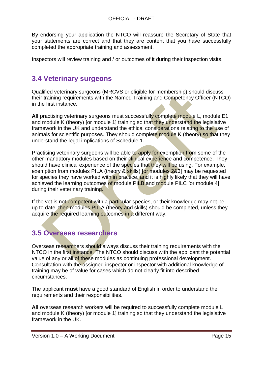By endorsing your application the NTCO will reassure the Secretary of State that your statements are correct and that they are content that you have successfully completed the appropriate training and assessment.

Inspectors will review training and / or outcomes of it during their inspection visits.

### **3.4 Veterinary surgeons**

Qualified veterinary surgeons (MRCVS or eligible for membership) should discuss their training requirements with the Named Training and Competency Officer (NTCO) in the first instance.

**All** practising veterinary surgeons must successfully complete module L, module E1 and module K (theory) [or module 1] training so that they understand the legislative framework in the UK and understand the ethical considerations relating to the use of animals for scientific purposes. They should complete module K (theory) so that they understand the legal implications of Schedule 1.

Practising veterinary surgeons will be able to apply for exemption from some of the other mandatory modules based on their clinical experience and competence. They should have clinical experience of the species that they will be using. For example, exemption from modules PILA (theory & skills) for modules 2&3] may be requested for species they have worked with in practice, and it is highly likely that they will have achieved the learning outcomes of module PILB and module PILC [or module 4] during their veterinary training.

If the vet is not competent with a particular species, or their knowledge may not be up to date, then modules PIL A (theory and skills) should be completed, unless they acquire the required learning outcomes in a different way.

### **3.5 Overseas researchers**

Overseas researchers should always discuss their training requirements with the NTCO in the first instance. The NTCO should discuss with the applicant the potential value of any or all of these modules as continuing professional development. Consultation with the assigned inspector or inspector with additional knowledge of training may be of value for cases which do not clearly fit into described circumstances.

The applicant **must** have a good standard of English in order to understand the requirements and their responsibilities.

**All** overseas research workers will be required to successfully complete module L and module K (theory) for module 11 training so that they understand the legislative framework in the UK.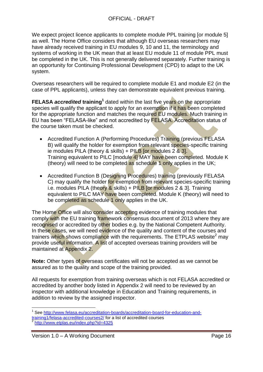We expect project licence applicants to complete module PPL training [or module 5] as well. The Home Office considers that although EU overseas researchers may have already received training in EU modules 9, 10 and 11, the terminology and systems of working in the UK mean that at least EU module 11 of module PPL must be completed in the UK. This is not generally delivered separately. Further training is an opportunity for Continuing Professional Development (CPD) to adapt to the UK system.

Overseas researchers will be required to complete module E1 and module E2 (in the case of PPL applicants), unless they can demonstrate equivalent previous training.

**FELASA** *accredited* **training<sup>1</sup> dated within the last five years on the appropriate** species will qualify the applicant to apply for an exemption if it has been completed for the appropriate function and matches the required EU modules. Much training in EU has been "FELASA-like" and not accredited by FELASA. Accreditation status of the course taken must be checked.

- Accredited Function A (Performing Procedures) Training (previous FELASA B) will qualify the holder for exemption from relevant species-specific training ie modules PILA (theory & skills) + PILB [or modules  $2 \& 3$ ]. Training equivalent to PILC [module 4] MAY have been completed. Module K (theory) will need to be completed as schedule 1 only applies in the UK;
- Accredited Function B (Designing Procedures) training (previously FELASA C) may qualify the holder for exemption from relevant species-specific training i.e. modules PILA (theory & skills) + PILB [or modules 2 & 3]. Training equivalent to PILC MAY have been completed. Module K (theory) will need to be completed as schedule 1 only applies in the UK.

The Home Office will also consider accepting evidence of training modules that comply with the EU training framework consensus document of 2013 where they are recognised or accredited by other bodies e.g. by the National Competent Authority. In these cases, we will need evidence of the quality and content of the courses and trainers which shows compliance with the requirements. The ETPLAS website<sup>2</sup> may provide useful information. A list of accepted overseas training providers will be maintained at Appendix 2.

**Note:** Other types of overseas certificates will not be accepted as we cannot be assured as to the quality and scope of the training provided.

All requests for exemption from training overseas which is not FELASA accredited or accredited by another body listed in Appendix 2 will need to be reviewed by an inspector with additional knowledge in Education and Training requirements, in addition to review by the assigned inspector.

<sup>1</sup> 1 See [http://www.felasa.eu/accreditation-boards/accreditation-board-for-education-and-](http://www.felasa.eu/accreditation-boards/accreditation-board-for-education-and-training1/felasa-accredited-courses2/)

[training1/felasa-accredited-courses2/](http://www.felasa.eu/accreditation-boards/accreditation-board-for-education-and-training1/felasa-accredited-courses2/) for a list of accredited courses<br>2 http://unuu.otplas.ou/indox.php?id\_4335

<http://www.etplas.eu/index.php?id=4325>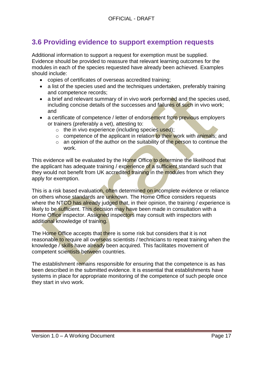### **3.6 Providing evidence to support exemption requests**

Additional information to support a request for exemption must be supplied. Evidence should be provided to reassure that relevant learning outcomes for the modules in each of the species requested have already been achieved. Examples should include:

- copies of certificates of overseas accredited training;
- a list of the species used and the techniques undertaken, preferably training and competence records;
- a brief and relevant summary of in vivo work performed and the species used, including concise details of the successes and failures of such in vivo work; and
- a certificate of competence / letter of endorsement from previous employers or trainers (preferably a vet), attesting to:
	- $\circ$  the in vivo experience (including species used);
	- $\circ$  competence of the applicant in relation to their work with animals; and
	- $\circ$  an opinion of the author on the suitability of the person to continue the work.

This evidence will be evaluated by the Home Office to determine the likelihood that the applicant has adequate training / experience of a sufficient standard such that they would not benefit from UK accredited training in the modules from which they apply for exemption.

This is a risk based evaluation, often determined on incomplete evidence or reliance on others whose standards are unknown. The Home Office considers requests where the NTCO has already judged that, in their opinion, the training / experience is likely to be sufficient. This decision may have been made in consultation with a Home Office inspector. Assigned inspectors may consult with inspectors with additional knowledge of training.

The Home Office accepts that there is some risk but considers that it is not reasonable to require all overseas scientists / technicians to repeat training when the knowledge / skills have already been acquired. This facilitates movement of competent scientists between countries.

The establishment remains responsible for ensuring that the competence is as has been described in the submitted evidence. It is essential that establishments have systems in place for appropriate monitoring of the competence of such people once they start in vivo work.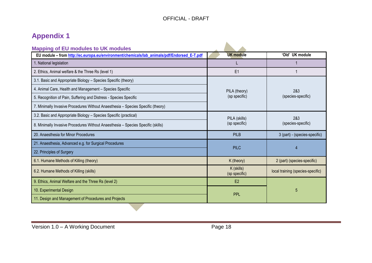# **Appendix 1**

| <b>Mapping of EU modules to UK modules</b>                                                  |                             |                                   |
|---------------------------------------------------------------------------------------------|-----------------------------|-----------------------------------|
| EU module - from http://ec.europa.eu/environment/chemicals/lab_animals/pdf/Endorsed_E-T.pdf | <b>UK module</b>            | 'Old' UK module                   |
| 1. National legislation                                                                     |                             |                                   |
| 2. Ethics, Animal welfare & the Three Rs (level 1)                                          | E1                          |                                   |
| 3.1. Basic and Appropriate Biology - Species Specific (theory)                              |                             | 2&3<br>(species-specific)         |
| 4. Animal Care, Health and Management - Species Specific                                    | PILA (theory)               |                                   |
| 5. Recognition of Pain, Suffering and Distress - Species Specific                           | (sp specific)               |                                   |
| 7. Minimally Invasive Procedures Without Anaesthesia - Species Specific (theory)            |                             |                                   |
| 3.2. Basic and Appropriate Biology - Species Specific (practical)                           | PILA (skills)               | 2&3<br>(species-specific)         |
| 8. Minimally Invasive Procedures Without Anaesthesia - Species Specific (skills)            | (sp specific)               |                                   |
| 20. Anaesthesia for Minor Procedures                                                        | PILB                        | 3 (part) - (species-specific)     |
| 21. Anaesthesia, Advanced e.g. for Surgical Procedures                                      |                             | 4                                 |
| 22. Principles of Surgery                                                                   | <b>PILC</b>                 |                                   |
| 6.1. Humane Methods of Killing (theory)                                                     | K (theory)                  | 2 (part) (species-specific)       |
| 6.2. Humane Methods of Killing (skills)                                                     | K (skills)<br>(sp specific) | local training (species-specific) |
| 9. Ethics, Animal Welfare and the Three Rs (level 2)                                        | E <sub>2</sub>              |                                   |
| 10. Experimental Design<br><b>PPL</b>                                                       |                             | 5                                 |
| 11. Design and Management of Procedures and Projects                                        |                             |                                   |